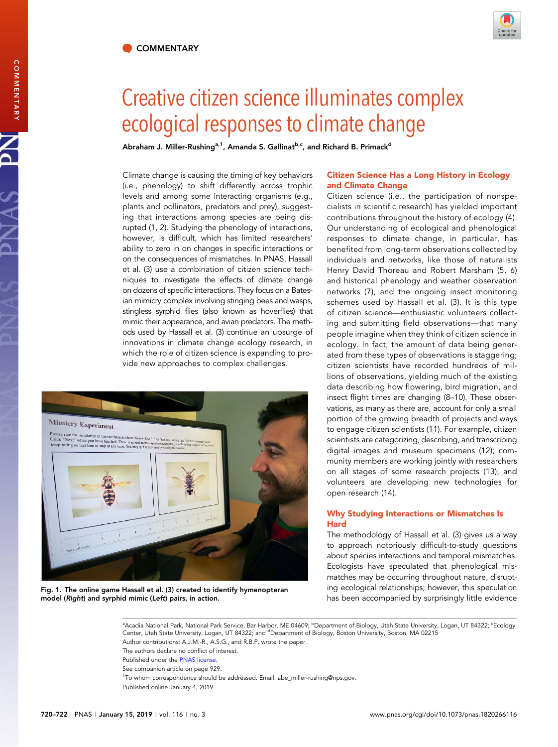

# Creative citizen science illuminates complex<br>ecological responses to climate change

Abraham J. Miller-Rushing<sup>a,1</sup>, Amanda S. Gallinat<sup>b,c</sup>, and Richard B. Primack<sup>d</sup>

Climate change is causing the timing of key behaviors (i.e., phenology) to shift differently across trophic levels and among some interacting organisms (e.g., plants and pollinators, predators and prey), suggesting that interactions among species are being disrupted (1, 2). Studying the phenology of interactions, however, is difficult, which has limited researchers' ability to zero in on changes in specific interactions or on the consequences of mismatches. In PNAS, Hassall et al. (3) use a combination of citizen science techniques to investigate the effects of climate change on dozens of specific interactions. They focus on a Batesian mimicry complex involving stinging bees and wasps, stingless syrphid flies (also known as hoverflies) that mimic their appearance, and avian predators. The methods used by Hassall et al. (3) continue an upsurge of innovations in climate change ecology research, in which the role of citizen science is expanding to provide new approaches to complex challenges.



Fig. 1. The online game Hassall et al. (3) created to identify hymenopteran model (Right) and syrphid mimic (Left) pairs, in action.

## Citizen Science Has a Long History in Ecology and Climate Change

Citizen science (i.e., the participation of nonspecialists in scientific research) has yielded important contributions throughout the history of ecology (4). Our understanding of ecological and phenological responses to climate change, in particular, has benefited from long-term observations collected by individuals and networks, like those of naturalists Henry David Thoreau and Robert Marsham (5, 6) and historical phenology and weather observation networks (7), and the ongoing insect monitoring schemes used by Hassall et al. (3). It is this type of citizen science—enthusiastic volunteers collecting and submitting field observations—that many people imagine when they think of citizen science in ecology. In fact, the amount of data being generated from these types of observations is staggering; citizen scientists have recorded hundreds of millions of observations, yielding much of the existing data describing how flowering, bird migration, and insect flight times are changing (8–10). These observations, as many as there are, account for only a small portion of the growing breadth of projects and ways to engage citizen scientists (11). For example, citizen scientists are categorizing, describing, and transcribing digital images and museum specimens (12); community members are working jointly with researchers on all stages of some research projects (13); and volunteers are developing new technologies for open research (14).

### Why Studying Interactions or Mismatches Is **Hard**

The methodology of Hassall et al. (3) gives us a way to approach notoriously difficult-to-study questions about species interactions and temporal mismatches. Ecologists have speculated that phenological mismatches may be occurring throughout nature, disrupting ecological relationships; however, this speculation has been accompanied by surprisingly little evidence

ªAcadia National Park, National Park Service, Bar Harbor, ME 04609; <sup>b</sup>Department of Biology, Utah State University, Logan, UT 84322; <sup>c</sup>Ecology Center, Utah State University, Logan, UT 84322; and <sup>d</sup>Department of Biology, Boston University, Boston, MA 02215 Author contributions: A.J.M.-R., A.S.G., and R.B.P. wrote the paper.

The authors declare no conflict of interest.

- Published under the [PNAS license](https://www.pnas.org/site/aboutpnas/licenses.xhtml).
- See companion article on page 929.

<sup>1</sup>To whom correspondence should be addressed. Email: [abe\\_miller-rushing@nps.gov.](mailto:abe_miller-rushing@nps.gov) Published online January 4, 2019.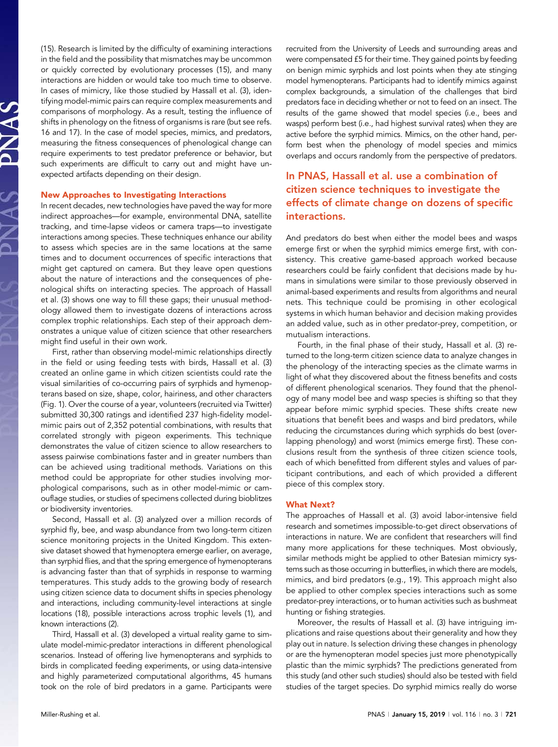(15). Research is limited by the difficulty of examining interactions in the field and the possibility that mismatches may be uncommon or quickly corrected by evolutionary processes (15), and many interactions are hidden or would take too much time to observe. In cases of mimicry, like those studied by Hassall et al. (3), identifying model-mimic pairs can require complex measurements and comparisons of morphology. As a result, testing the influence of shifts in phenology on the fitness of organisms is rare (but see refs. 16 and 17). In the case of model species, mimics, and predators, measuring the fitness consequences of phenological change can require experiments to test predator preference or behavior, but such experiments are difficult to carry out and might have unexpected artifacts depending on their design.

#### New Approaches to Investigating Interactions

In recent decades, new technologies have paved the way for more indirect approaches—for example, environmental DNA, satellite tracking, and time-lapse videos or camera traps—to investigate interactions among species. These techniques enhance our ability to assess which species are in the same locations at the same times and to document occurrences of specific interactions that might get captured on camera. But they leave open questions about the nature of interactions and the consequences of phenological shifts on interacting species. The approach of Hassall et al. (3) shows one way to fill these gaps; their unusual methodology allowed them to investigate dozens of interactions across complex trophic relationships. Each step of their approach demonstrates a unique value of citizen science that other researchers might find useful in their own work.

First, rather than observing model-mimic relationships directly in the field or using feeding tests with birds, Hassall et al. (3) created an online game in which citizen scientists could rate the visual similarities of co-occurring pairs of syrphids and hymenopterans based on size, shape, color, hairiness, and other characters (Fig. 1). Over the course of a year, volunteers (recruited via Twitter) submitted 30,300 ratings and identified 237 high-fidelity modelmimic pairs out of 2,352 potential combinations, with results that correlated strongly with pigeon experiments. This technique demonstrates the value of citizen science to allow researchers to assess pairwise combinations faster and in greater numbers than can be achieved using traditional methods. Variations on this method could be appropriate for other studies involving morphological comparisons, such as in other model-mimic or camouflage studies, or studies of specimens collected during bioblitzes or biodiversity inventories.

Second, Hassall et al. (3) analyzed over a million records of syrphid fly, bee, and wasp abundance from two long-term citizen science monitoring projects in the United Kingdom. This extensive dataset showed that hymenoptera emerge earlier, on average, than syrphid flies, and that the spring emergence of hymenopterans is advancing faster than that of syrphids in response to warming temperatures. This study adds to the growing body of research using citizen science data to document shifts in species phenology and interactions, including community-level interactions at single locations (18), possible interactions across trophic levels (1), and known interactions (2).

Third, Hassall et al. (3) developed a virtual reality game to simulate model-mimic-predator interactions in different phenological scenarios. Instead of offering live hymenopterans and syrphids to birds in complicated feeding experiments, or using data-intensive and highly parameterized computational algorithms, 45 humans took on the role of bird predators in a game. Participants were recruited from the University of Leeds and surrounding areas and were compensated £5 for their time. They gained points by feeding on benign mimic syrphids and lost points when they ate stinging model hymenopterans. Participants had to identify mimics against complex backgrounds, a simulation of the challenges that bird predators face in deciding whether or not to feed on an insect. The results of the game showed that model species (i.e., bees and wasps) perform best (i.e., had highest survival rates) when they are active before the syrphid mimics. Mimics, on the other hand, perform best when the phenology of model species and mimics overlaps and occurs randomly from the perspective of predators.

# In PNAS, Hassall et al. use a combination of citizen science techniques to investigate the effects of climate change on dozens of specific interactions.

And predators do best when either the model bees and wasps emerge first or when the syrphid mimics emerge first, with consistency. This creative game-based approach worked because researchers could be fairly confident that decisions made by humans in simulations were similar to those previously observed in animal-based experiments and results from algorithms and neural nets. This technique could be promising in other ecological systems in which human behavior and decision making provides an added value, such as in other predator-prey, competition, or mutualism interactions.

Fourth, in the final phase of their study, Hassall et al. (3) returned to the long-term citizen science data to analyze changes in the phenology of the interacting species as the climate warms in light of what they discovered about the fitness benefits and costs of different phenological scenarios. They found that the phenology of many model bee and wasp species is shifting so that they appear before mimic syrphid species. These shifts create new situations that benefit bees and wasps and bird predators, while reducing the circumstances during which syrphids do best (overlapping phenology) and worst (mimics emerge first). These conclusions result from the synthesis of three citizen science tools, each of which benefitted from different styles and values of participant contributions, and each of which provided a different piece of this complex story.

#### What Next?

The approaches of Hassall et al. (3) avoid labor-intensive field research and sometimes impossible-to-get direct observations of interactions in nature. We are confident that researchers will find many more applications for these techniques. Most obviously, similar methods might be applied to other Batesian mimicry systems such as those occurring in butterflies, in which there are models, mimics, and bird predators (e.g., 19). This approach might also be applied to other complex species interactions such as some predator-prey interactions, or to human activities such as bushmeat hunting or fishing strategies.

Moreover, the results of Hassall et al. (3) have intriguing implications and raise questions about their generality and how they play out in nature. Is selection driving these changes in phenology or are the hymenopteran model species just more phenotypically plastic than the mimic syrphids? The predictions generated from this study (and other such studies) should also be tested with field studies of the target species. Do syrphid mimics really do worse